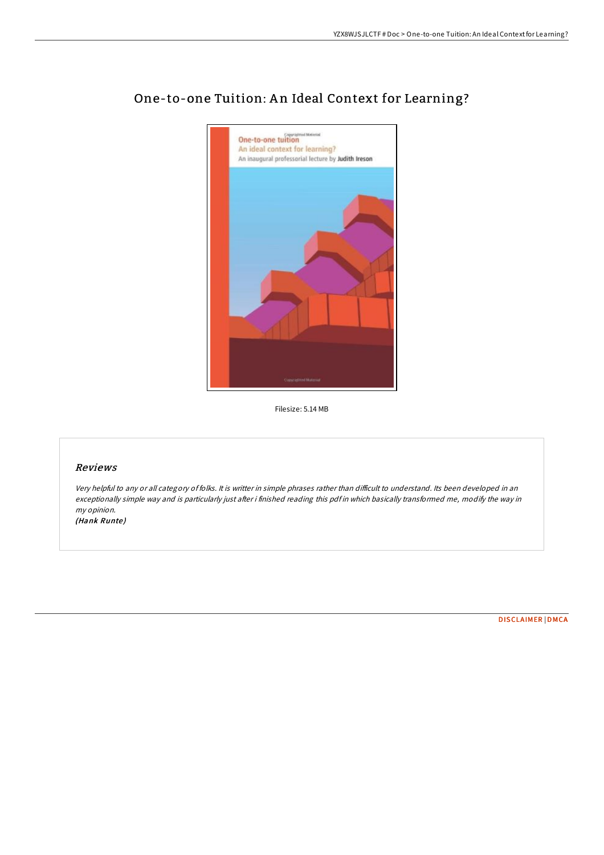

# One-to-one Tuition: An Ideal Context for Learning?

Filesize: 5.14 MB

#### Reviews

Very helpful to any or all category of folks. It is writter in simple phrases rather than difficult to understand. Its been developed in an exceptionally simple way and is particularly just after i finished reading this pdf in which basically transformed me, modify the way in my opinion.

(Hank Runte)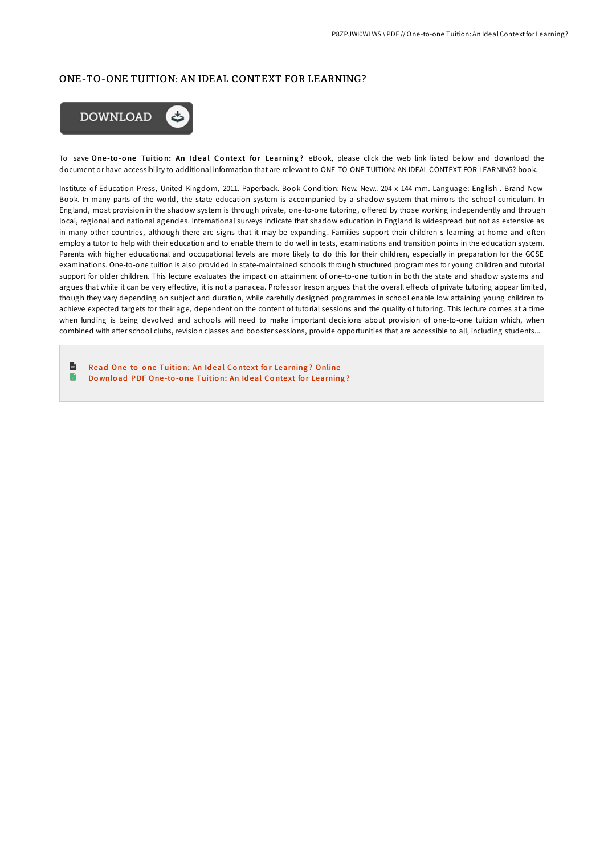## ONE-TO-ONE TUITION: AN IDEAL CONTEXT FOR LEARNING?



To save One-to-one Tuition: An Ideal Context for Learning? eBook, please click the web link listed below and download the document or have accessibility to additional information that are relevant to ONE-TO-ONE TUITION: AN IDEAL CONTEXT FOR LEARNING? book.

Institute of Education Press, United Kingdom, 2011. Paperback. Book Condition: New. New.. 204 x 144 mm. Language: English . Brand New Book. In many parts of the world, the state education system is accompanied by a shadow system that mirrors the school curriculum. In England, most provision in the shadow system is through private, one-to-one tutoring, oFered by those working independently and through local, regional and national agencies. International surveys indicate that shadow education in England is widespread but not as extensive as in many other countries, although there are signs that it may be expanding. Families support their children s learning at home and often employ a tutor to help with their education and to enable them to do well in tests, examinations and transition points in the education system. Parents with higher educational and occupational levels are more likely to do this for their children, especially in preparation for the GCSE examinations. One-to-one tuition is also provided in state-maintained schools through structured programmes for young children and tutorial support for older children. This lecture evaluates the impact on attainment of one-to-one tuition in both the state and shadow systems and argues that while it can be very eFective, it is not a panacea. Professor Ireson argues that the overall eFects of private tutoring appear limited, though they vary depending on subject and duration, while carefully designed programmes in school enable low attaining young children to achieve expected targets for their age, dependent on the content of tutorial sessions and the quality of tutoring. This lecture comes at a time when funding is being devolved and schools will need to make important decisions about provision of one-to-one tuition which, when combined with after school clubs, revision classes and booster sessions, provide opportunities that are accessible to all, including students...

 $\mathbf{u}$ Read One-to-one Tuition: An Ideal Context for [Learning](http://almighty24.tech/one-to-one-tuition-an-ideal-context-for-learning.html)? Online  $\blacksquare$ Do wnload PDF One-to-one Tuition: An Ideal Context for [Learning](http://almighty24.tech/one-to-one-tuition-an-ideal-context-for-learning.html)?